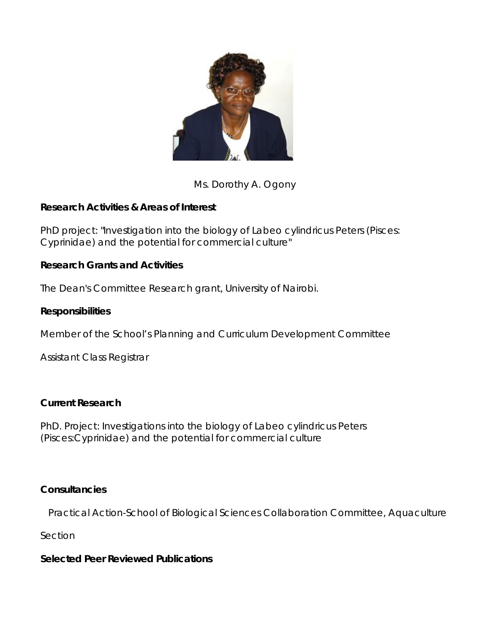

Ms. Dorothy A. Ogony

# **Research Activities & Areas of Interest**

PhD project: "Investigation into the biology of Labeo cylindricus Peters (Pisces: Cyprinidae) and the potential for commercial culture"

## **Research Grants and Activities**

The Dean's Committee Research grant, University of Nairobi.

## **Responsibilities**

Member of the School's Planning and Curriculum Development Committee

Assistant Class Registrar

### **Current Research**

PhD. Project: Investigations into the biology of Labeo cylindricus Peters (Pisces:Cyprinidae) and the potential for commercial culture

### **Consultancies**

Practical Action-School of Biological Sciences Collaboration Committee, Aquaculture

Section

### **Selected Peer Reviewed Publications**